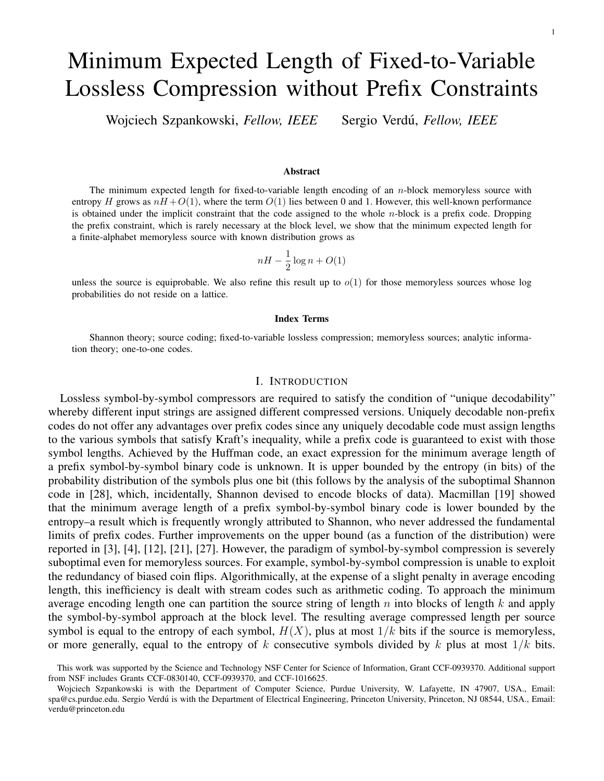# Minimum Expected Length of Fixed-to-Variable Lossless Compression without Prefix Constraints

Wojciech Szpankowski, *Fellow, IEEE* Sergio Verdú, *Fellow, IEEE* 

#### Abstract

The minimum expected length for fixed-to-variable length encoding of an n-block memoryless source with entropy H grows as  $nH+O(1)$ , where the term  $O(1)$  lies between 0 and 1. However, this well-known performance is obtained under the implicit constraint that the code assigned to the whole  $n$ -block is a prefix code. Dropping the prefix constraint, which is rarely necessary at the block level, we show that the minimum expected length for a finite-alphabet memoryless source with known distribution grows as

$$
nH - \frac{1}{2}\log n + O(1)
$$

unless the source is equiprobable. We also refine this result up to  $o(1)$  for those memoryless sources whose log probabilities do not reside on a lattice.

#### Index Terms

Shannon theory; source coding; fixed-to-variable lossless compression; memoryless sources; analytic information theory; one-to-one codes.

## I. INTRODUCTION

Lossless symbol-by-symbol compressors are required to satisfy the condition of "unique decodability" whereby different input strings are assigned different compressed versions. Uniquely decodable non-prefix codes do not offer any advantages over prefix codes since any uniquely decodable code must assign lengths to the various symbols that satisfy Kraft's inequality, while a prefix code is guaranteed to exist with those symbol lengths. Achieved by the Huffman code, an exact expression for the minimum average length of a prefix symbol-by-symbol binary code is unknown. It is upper bounded by the entropy (in bits) of the probability distribution of the symbols plus one bit (this follows by the analysis of the suboptimal Shannon code in [28], which, incidentally, Shannon devised to encode blocks of data). Macmillan [19] showed that the minimum average length of a prefix symbol-by-symbol binary code is lower bounded by the entropy–a result which is frequently wrongly attributed to Shannon, who never addressed the fundamental limits of prefix codes. Further improvements on the upper bound (as a function of the distribution) were reported in [3], [4], [12], [21], [27]. However, the paradigm of symbol-by-symbol compression is severely suboptimal even for memoryless sources. For example, symbol-by-symbol compression is unable to exploit the redundancy of biased coin flips. Algorithmically, at the expense of a slight penalty in average encoding length, this inefficiency is dealt with stream codes such as arithmetic coding. To approach the minimum average encoding length one can partition the source string of length n into blocks of length k and apply the symbol-by-symbol approach at the block level. The resulting average compressed length per source symbol is equal to the entropy of each symbol,  $H(X)$ , plus at most  $1/k$  bits if the source is memoryless, or more generally, equal to the entropy of k consecutive symbols divided by k plus at most  $1/k$  bits.

This work was supported by the Science and Technology NSF Center for Science of Information, Grant CCF-0939370. Additional support from NSF includes Grants CCF-0830140, CCF-0939370, and CCF-1016625.

Wojciech Szpankowski is with the Department of Computer Science, Purdue University, W. Lafayette, IN 47907, USA., Email: spa@cs.purdue.edu. Sergio Verdú is with the Department of Electrical Engineering, Princeton University, Princeton, NJ 08544, USA., Email: verdu@princeton.edu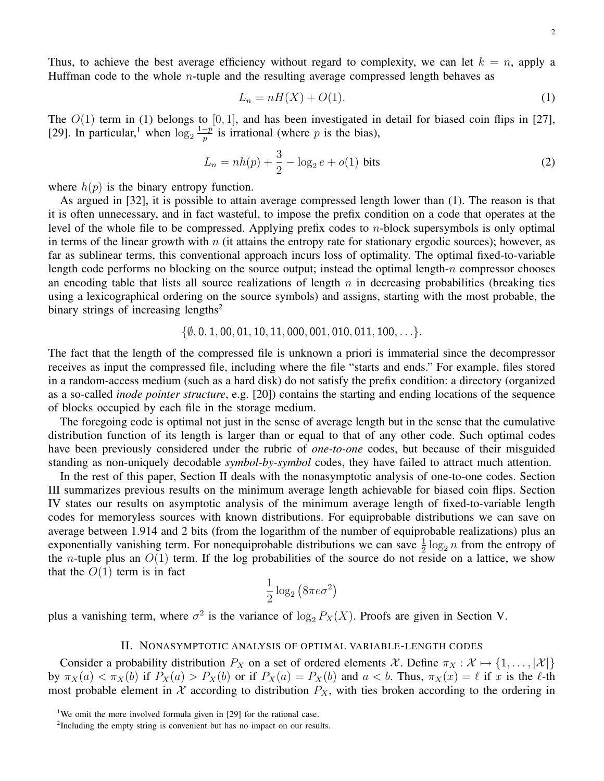$$
L_n = nH(X) + O(1). \tag{1}
$$

The  $O(1)$  term in (1) belongs to [0, 1], and has been investigated in detail for biased coin flips in [27], [29]. In particular,<sup>1</sup> when  $\log_2 \frac{1-p}{p}$  $\frac{-p}{p}$  is irrational (where p is the bias),

$$
L_n = nh(p) + \frac{3}{2} - \log_2 e + o(1) \text{ bits}
$$
 (2)

where  $h(p)$  is the binary entropy function.

As argued in [32], it is possible to attain average compressed length lower than (1). The reason is that it is often unnecessary, and in fact wasteful, to impose the prefix condition on a code that operates at the level of the whole file to be compressed. Applying prefix codes to  $n$ -block supersymbols is only optimal in terms of the linear growth with n (it attains the entropy rate for stationary ergodic sources); however, as far as sublinear terms, this conventional approach incurs loss of optimality. The optimal fixed-to-variable length code performs no blocking on the source output; instead the optimal length-n compressor chooses an encoding table that lists all source realizations of length  $n$  in decreasing probabilities (breaking ties using a lexicographical ordering on the source symbols) and assigns, starting with the most probable, the binary strings of increasing lengths<sup>2</sup>

$$
\{\emptyset, 0, 1, 00, 01, 10, 11, 000, 001, 010, 011, 100, \ldots\}.
$$

The fact that the length of the compressed file is unknown a priori is immaterial since the decompressor receives as input the compressed file, including where the file "starts and ends." For example, files stored in a random-access medium (such as a hard disk) do not satisfy the prefix condition: a directory (organized as a so-called *inode pointer structure*, e.g. [20]) contains the starting and ending locations of the sequence of blocks occupied by each file in the storage medium.

The foregoing code is optimal not just in the sense of average length but in the sense that the cumulative distribution function of its length is larger than or equal to that of any other code. Such optimal codes have been previously considered under the rubric of *one-to-one* codes, but because of their misguided standing as non-uniquely decodable *symbol-by-symbol* codes, they have failed to attract much attention.

In the rest of this paper, Section II deals with the nonasymptotic analysis of one-to-one codes. Section III summarizes previous results on the minimum average length achievable for biased coin flips. Section IV states our results on asymptotic analysis of the minimum average length of fixed-to-variable length codes for memoryless sources with known distributions. For equiprobable distributions we can save on average between 1.914 and 2 bits (from the logarithm of the number of equiprobable realizations) plus an exponentially vanishing term. For nonequiprobable distributions we can save  $\frac{1}{2} \log_2 n$  from the entropy of the *n*-tuple plus an  $O(1)$  term. If the log probabilities of the source do not reside on a lattice, we show that the  $O(1)$  term is in fact

$$
\frac{1}{2}\log_2\left(8\pi e\sigma^2\right)
$$

plus a vanishing term, where  $\sigma^2$  is the variance of  $\log_2 P_X(X)$ . Proofs are given in Section V.

## II. NONASYMPTOTIC ANALYSIS OF OPTIMAL VARIABLE-LENGTH CODES

Consider a probability distribution  $P_X$  on a set of ordered elements X. Define  $\pi_X : \mathcal{X} \mapsto \{1, \ldots, |\mathcal{X}|\}$ by  $\pi_X(a) < \pi_X(b)$  if  $P_X(a) > P_X(b)$  or if  $P_X(a) = P_X(b)$  and  $a < b$ . Thus,  $\pi_X(x) = \ell$  if x is the  $\ell$ -th most probable element in X according to distribution  $P_X$ , with ties broken according to the ordering in

<sup>&</sup>lt;sup>1</sup>We omit the more involved formula given in [29] for the rational case.

 $2$ Including the empty string is convenient but has no impact on our results.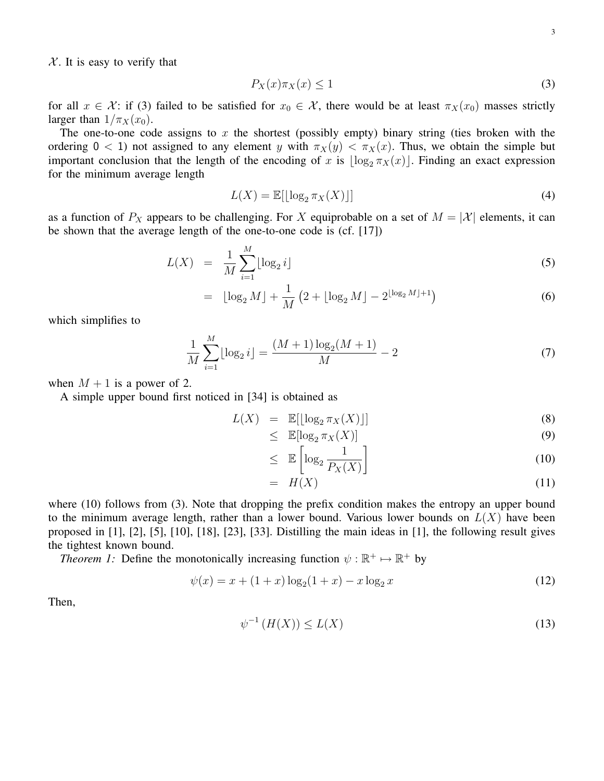$X$ . It is easy to verify that

$$
P_X(x)\pi_X(x) \le 1\tag{3}
$$

for all  $x \in \mathcal{X}$ : if (3) failed to be satisfied for  $x_0 \in \mathcal{X}$ , there would be at least  $\pi_X(x_0)$  masses strictly larger than  $1/\pi_X(x_0)$ .

The one-to-one code assigns to  $x$  the shortest (possibly empty) binary string (ties broken with the ordering  $0 < 1$ ) not assigned to any element y with  $\pi_X(y) < \pi_X(x)$ . Thus, we obtain the simple but important conclusion that the length of the encoding of x is  $\lfloor \log_2 \pi_X(x) \rfloor$ . Finding an exact expression for the minimum average length

$$
L(X) = \mathbb{E}[\lfloor \log_2 \pi_X(X) \rfloor] \tag{4}
$$

as a function of  $P_X$  appears to be challenging. For X equiprobable on a set of  $M = |\mathcal{X}|$  elements, it can be shown that the average length of the one-to-one code is (cf. [17])

$$
L(X) = \frac{1}{M} \sum_{i=1}^{M} \lfloor \log_2 i \rfloor \tag{5}
$$

$$
= \lfloor \log_2 M \rfloor + \frac{1}{M} \left( 2 + \lfloor \log_2 M \rfloor - 2^{\lfloor \log_2 M \rfloor + 1} \right) \tag{6}
$$

which simplifies to

$$
\frac{1}{M} \sum_{i=1}^{M} \lfloor \log_2 i \rfloor = \frac{(M+1)\log_2(M+1)}{M} - 2\tag{7}
$$

when  $M + 1$  is a power of 2.

A simple upper bound first noticed in [34] is obtained as

$$
L(X) = \mathbb{E}[\lfloor \log_2 \pi_X(X) \rfloor] \tag{8}
$$

$$
\leq \mathbb{E}[\log_2 \pi_X(X)] \tag{9}
$$

$$
\leq \mathbb{E}\left[\log_2 \frac{1}{P_X(X)}\right] \tag{10}
$$

$$
= H(X) \tag{11}
$$

where (10) follows from (3). Note that dropping the prefix condition makes the entropy an upper bound to the minimum average length, rather than a lower bound. Various lower bounds on  $L(X)$  have been proposed in [1], [2], [5], [10], [18], [23], [33]. Distilling the main ideas in [1], the following result gives the tightest known bound.

*Theorem 1:* Define the monotonically increasing function  $\psi : \mathbb{R}^+ \mapsto \mathbb{R}^+$  by

$$
\psi(x) = x + (1+x)\log_2(1+x) - x\log_2 x \tag{12}
$$

Then,

$$
\psi^{-1}\left(H(X)\right) \le L(X) \tag{13}
$$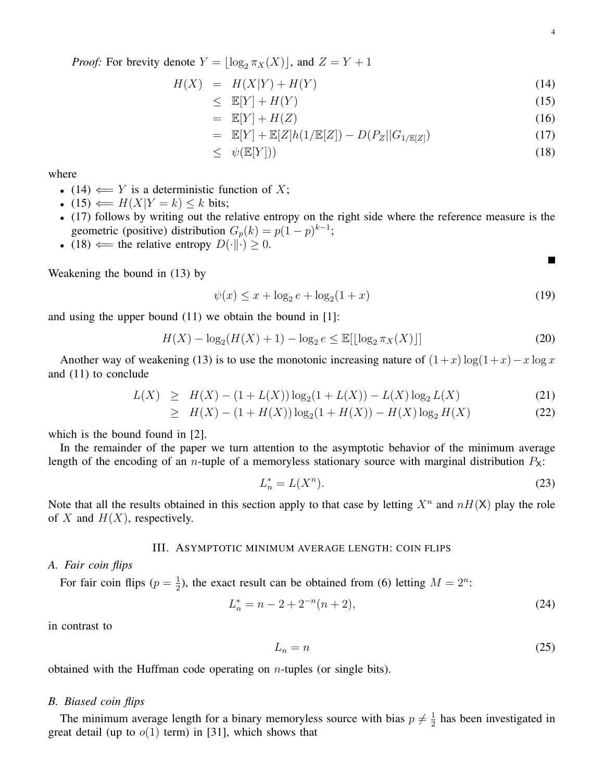*Proof:* For brevity denote  $Y = \lfloor \log_2 \pi_X(X) \rfloor$ , and  $Z = Y + 1$ 

$$
H(X) = H(X|Y) + H(Y) \tag{14}
$$

$$
\leq \mathbb{E}[Y] + H(Y) \tag{15}
$$

$$
= \mathbb{E}[Y] + H(Z) \tag{16}
$$

$$
= \mathbb{E}[Y] + \mathbb{E}[Z]h(1/\mathbb{E}[Z]) - D(P_Z||G_{1/\mathbb{E}[Z]}) \tag{17}
$$

$$
\leq \psi(\mathbb{E}[Y])) \tag{18}
$$

where

- (14)  $\Leftarrow$  Y is a deterministic function of X;
- (15)  $\Leftarrow$   $H(X|Y = k) \leq k$  bits;
- (17) follows by writing out the relative entropy on the right side where the reference measure is the geometric (positive) distribution  $G_p(k) = p(1-p)^{k-1}$ ;
- (18)  $\Leftarrow$  the relative entropy  $D(\cdot|\cdot|) \geq 0$ .

Weakening the bound in (13) by

$$
\psi(x) \le x + \log_2 e + \log_2(1+x)
$$
\n(19)

and using the upper bound (11) we obtain the bound in [1]:

$$
H(X) - \log_2(H(X) + 1) - \log_2 e \le \mathbb{E}[\lfloor \log_2 \pi_X(X) \rfloor]
$$
 (20)

Another way of weakening (13) is to use the monotonic increasing nature of  $(1+x)$  log $(1+x)-x$  log x and (11) to conclude

$$
L(X) \geq H(X) - (1 + L(X)) \log_2(1 + L(X)) - L(X) \log_2 L(X) \tag{21}
$$

$$
\geq H(X) - (1 + H(X)) \log_2(1 + H(X)) - H(X) \log_2 H(X) \tag{22}
$$

which is the bound found in [2].

In the remainder of the paper we turn attention to the asymptotic behavior of the minimum average length of the encoding of an *n*-tuple of a memoryless stationary source with marginal distribution  $P<sub>X</sub>$ :

$$
L_n^* = L(X^n). \tag{23}
$$

Note that all the results obtained in this section apply to that case by letting  $X^n$  and  $nH(\mathsf{X})$  play the role of X and  $H(X)$ , respectively.

## III. ASYMPTOTIC MINIMUM AVERAGE LENGTH: COIN FLIPS

## *A. Fair coin flips*

For fair coin flips ( $p = \frac{1}{2}$  $\frac{1}{2}$ ), the exact result can be obtained from (6) letting  $M = 2^n$ :

$$
L_n^* = n - 2 + 2^{-n}(n+2),\tag{24}
$$

in contrast to

$$
L_n = n \tag{25}
$$

obtained with the Huffman code operating on  $n$ -tuples (or single bits).

#### *B. Biased coin flips*

The minimum average length for a binary memoryless source with bias  $p \neq \frac{1}{2}$  $\frac{1}{2}$  has been investigated in great detail (up to  $o(1)$  term) in [31], which shows that

 $\blacksquare$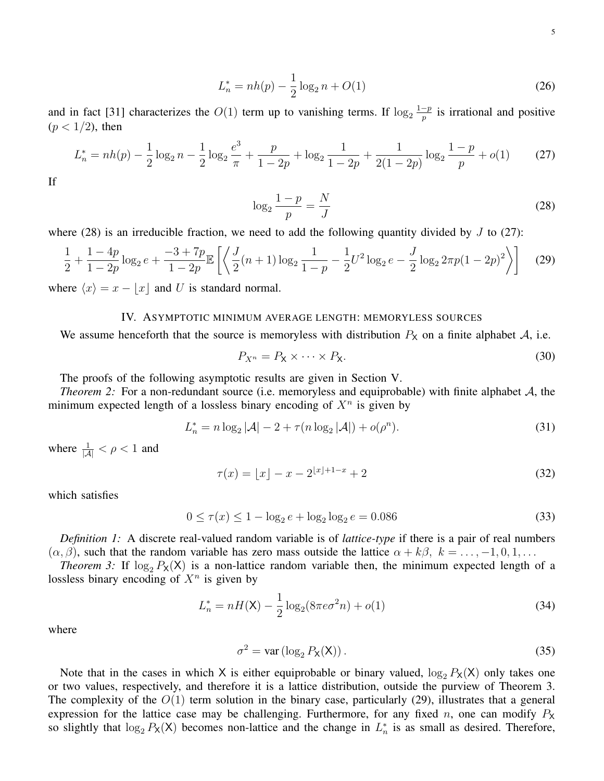$$
L_n^* = nh(p) - \frac{1}{2}\log_2 n + O(1) \tag{26}
$$

and in fact [31] characterizes the  $O(1)$  term up to vanishing terms. If  $\log_2 \frac{1-p}{p}$  $\frac{-p}{p}$  is irrational and positive  $(p < 1/2)$ , then

$$
L_n^* = nh(p) - \frac{1}{2}\log_2 n - \frac{1}{2}\log_2 \frac{e^3}{\pi} + \frac{p}{1-2p} + \log_2 \frac{1}{1-2p} + \frac{1}{2(1-2p)}\log_2 \frac{1-p}{p} + o(1) \tag{27}
$$

If

$$
\log_2 \frac{1-p}{p} = \frac{N}{J} \tag{28}
$$

where (28) is an irreducible fraction, we need to add the following quantity divided by  $J$  to (27):

$$
\frac{1}{2} + \frac{1 - 4p}{1 - 2p} \log_2 e + \frac{-3 + 7p}{1 - 2p} \mathbb{E}\left[ \left\langle \frac{J}{2}(n+1) \log_2 \frac{1}{1 - p} - \frac{1}{2} U^2 \log_2 e - \frac{J}{2} \log_2 2\pi p (1 - 2p)^2 \right\rangle \right] \tag{29}
$$

where  $\langle x \rangle = x - |x|$  and U is standard normal.

## IV. ASYMPTOTIC MINIMUM AVERAGE LENGTH: MEMORYLESS SOURCES

We assume henceforth that the source is memoryless with distribution  $P_X$  on a finite alphabet A, i.e.

$$
P_{X^n} = P_X \times \cdots \times P_X. \tag{30}
$$

The proofs of the following asymptotic results are given in Section V.

*Theorem 2:* For a non-redundant source (i.e. memoryless and equiprobable) with finite alphabet A, the minimum expected length of a lossless binary encoding of  $X<sup>n</sup>$  is given by

$$
L_n^* = n \log_2 |\mathcal{A}| - 2 + \tau(n \log_2 |\mathcal{A}|) + o(\rho^n).
$$
 (31)

where  $\frac{1}{|\mathcal{A}|} < \rho < 1$  and

$$
\tau(x) = \lfloor x \rfloor - x - 2^{\lfloor x \rfloor + 1 - x} + 2 \tag{32}
$$

which satisfies

$$
0 \le \tau(x) \le 1 - \log_2 e + \log_2 \log_2 e = 0.086 \tag{33}
$$

*Definition 1:* A discrete real-valued random variable is of *lattice-type* if there is a pair of real numbers  $(\alpha, \beta)$ , such that the random variable has zero mass outside the lattice  $\alpha + k\beta$ ,  $k = \ldots, -1, 0, 1, \ldots$ 

*Theorem 3:* If  $\log_2 P_X(X)$  is a non-lattice random variable then, the minimum expected length of a lossless binary encoding of  $X<sup>n</sup>$  is given by

$$
L_n^* = nH(\mathsf{X}) - \frac{1}{2}\log_2(8\pi e\sigma^2 n) + o(1)
$$
\n(34)

where

$$
\sigma^2 = \text{var}(\log_2 P_{\mathsf{X}}(\mathsf{X})).\tag{35}
$$

Note that in the cases in which X is either equiprobable or binary valued,  $\log_2 P_X(\mathsf{X})$  only takes one or two values, respectively, and therefore it is a lattice distribution, outside the purview of Theorem 3. The complexity of the  $O(1)$  term solution in the binary case, particularly (29), illustrates that a general expression for the lattice case may be challenging. Furthermore, for any fixed n, one can modify  $P_X$ so slightly that  $\log_2 P_\mathsf{X}(\mathsf{X})$  becomes non-lattice and the change in  $L_n^*$  is as small as desired. Therefore,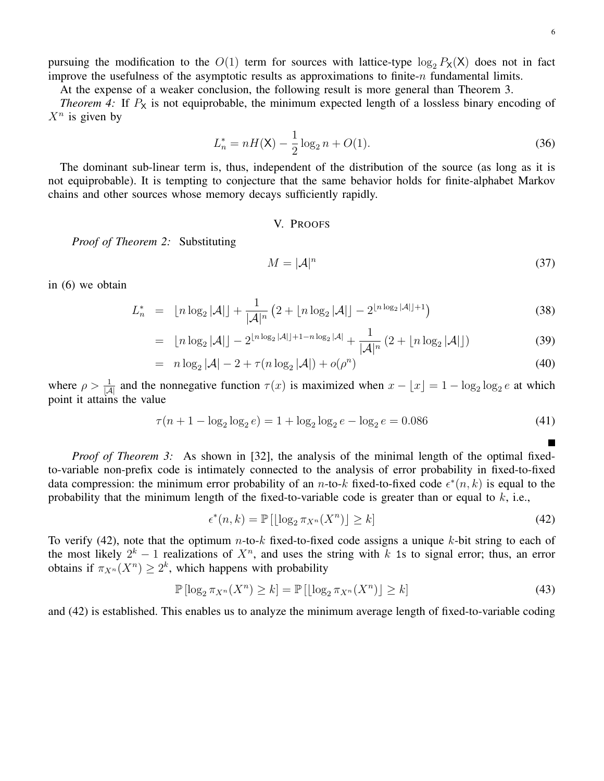pursuing the modification to the  $O(1)$  term for sources with lattice-type  $\log_2 P_X(\mathsf{X})$  does not in fact improve the usefulness of the asymptotic results as approximations to finite- $n$  fundamental limits.

At the expense of a weaker conclusion, the following result is more general than Theorem 3.

*Theorem 4:* If  $P_X$  is not equiprobable, the minimum expected length of a lossless binary encoding of  $X^n$  is given by

$$
L_n^* = nH(\mathsf{X}) - \frac{1}{2}\log_2 n + O(1). \tag{36}
$$

The dominant sub-linear term is, thus, independent of the distribution of the source (as long as it is not equiprobable). It is tempting to conjecture that the same behavior holds for finite-alphabet Markov chains and other sources whose memory decays sufficiently rapidly.

#### V. PROOFS

*Proof of Theorem 2:* Substituting

$$
M = |\mathcal{A}|^n \tag{37}
$$

in (6) we obtain

$$
L_n^* = \lfloor n \log_2 |\mathcal{A}| \rfloor + \frac{1}{|\mathcal{A}|^n} \left( 2 + \lfloor n \log_2 |\mathcal{A}| \rfloor - 2^{\lfloor n \log_2 |\mathcal{A}| \rfloor + 1} \right) \tag{38}
$$

$$
= \left[ n \log_2 |\mathcal{A}| \right] - 2^{\left\lfloor n \log_2 |\mathcal{A}| \right\rfloor + 1 - n \log_2 |\mathcal{A}|} + \frac{1}{|\mathcal{A}|^n} \left( 2 + \left\lfloor n \log_2 |\mathcal{A}| \right\rfloor \right) \tag{39}
$$

$$
= n \log_2 |\mathcal{A}| - 2 + \tau(n \log_2 |\mathcal{A}|) + o(\rho^n)
$$
\n(40)

where  $\rho > \frac{1}{|A|}$  and the nonnegative function  $\tau(x)$  is maximized when  $x - \lfloor x \rfloor = 1 - \log_2 \log_2 e$  at which point it attains the value

$$
\tau(n+1-\log_2\log_2 e) = 1 + \log_2\log_2 e - \log_2 e = 0.086\tag{41}
$$

*Proof of Theorem 3:* As shown in [32], the analysis of the minimal length of the optimal fixedto-variable non-prefix code is intimately connected to the analysis of error probability in fixed-to-fixed data compression: the minimum error probability of an *n*-to-k fixed-to-fixed code  $\epsilon^*(n, k)$  is equal to the probability that the minimum length of the fixed-to-variable code is greater than or equal to  $k$ , i.e.,

$$
\epsilon^*(n,k) = \mathbb{P}\left[\lfloor \log_2 \pi_{X^n}(X^n) \rfloor \ge k\right]
$$
\n(42)

To verify (42), note that the optimum n-to-k fixed-to-fixed code assigns a unique k-bit string to each of the most likely  $2^k - 1$  realizations of  $X^n$ , and uses the string with k 1s to signal error; thus, an error obtains if  $\pi_{X^n}(X^n) \geq 2^k$ , which happens with probability

$$
\mathbb{P}\left[\log_2 \pi_{X^n}(X^n) \ge k\right] = \mathbb{P}\left[\lfloor \log_2 \pi_{X^n}(X^n) \rfloor \ge k\right] \tag{43}
$$

and (42) is established. This enables us to analyze the minimum average length of fixed-to-variable coding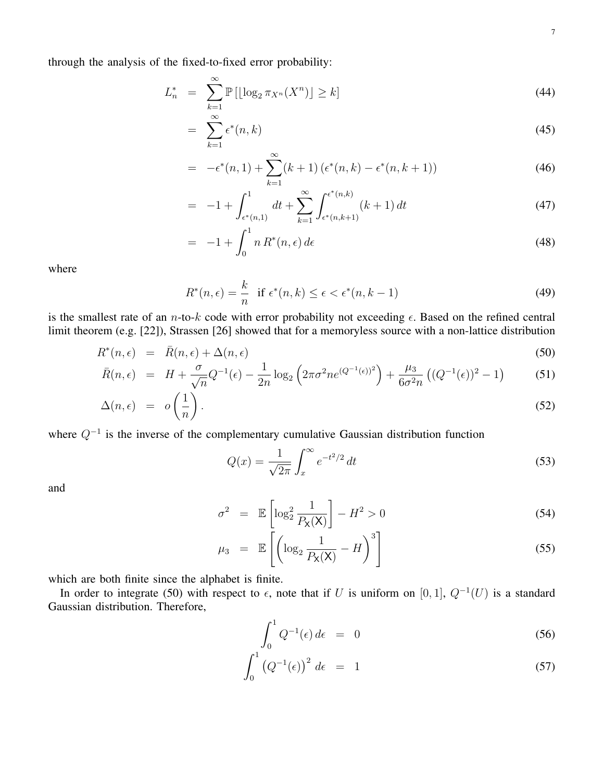through the analysis of the fixed-to-fixed error probability:

$$
L_n^* = \sum_{\substack{k=1 \ n \text{odd}}}^{\infty} \mathbb{P}\left[\lfloor \log_2 \pi_{X^n}(X^n) \rfloor \ge k\right] \tag{44}
$$

$$
= \sum_{k=1}^{\infty} \epsilon^*(n, k) \tag{45}
$$

$$
= -\epsilon^*(n,1) + \sum_{k=1}^{\infty} (k+1) \left( \epsilon^*(n,k) - \epsilon^*(n,k+1) \right)
$$
\n(46)

$$
= -1 + \int_{\epsilon^*(n,1)}^1 dt + \sum_{k=1}^{\infty} \int_{\epsilon^*(n,k+1)}^{\epsilon^*(n,k)} (k+1) dt
$$
 (47)

$$
= -1 + \int_0^1 n R^*(n, \epsilon) d\epsilon \tag{48}
$$

where

$$
R^*(n, \epsilon) = \frac{k}{n} \text{ if } \epsilon^*(n, k) \le \epsilon < \epsilon^*(n, k - 1) \tag{49}
$$

is the smallest rate of an *n*-to-k code with error probability not exceeding  $\epsilon$ . Based on the refined central limit theorem (e.g. [22]), Strassen [26] showed that for a memoryless source with a non-lattice distribution

$$
R^*(n, \epsilon) = \bar{R}(n, \epsilon) + \Delta(n, \epsilon) \tag{50}
$$

$$
\bar{R}(n,\epsilon) = H + \frac{\sigma}{\sqrt{n}} Q^{-1}(\epsilon) - \frac{1}{2n} \log_2 \left( 2\pi \sigma^2 n e^{(Q^{-1}(\epsilon))^2} \right) + \frac{\mu_3}{6\sigma^2 n} \left( (Q^{-1}(\epsilon))^2 - 1 \right) \tag{51}
$$

$$
\Delta(n,\epsilon) = o\left(\frac{1}{n}\right). \tag{52}
$$

where  $Q^{-1}$  is the inverse of the complementary cumulative Gaussian distribution function

$$
Q(x) = \frac{1}{\sqrt{2\pi}} \int_{x}^{\infty} e^{-t^2/2} dt
$$
 (53)

and

$$
\sigma^2 = \mathbb{E}\left[\log_2^2 \frac{1}{P_{\mathsf{X}}(\mathsf{X})}\right] - H^2 > 0 \tag{54}
$$

$$
\mu_3 = \mathbb{E}\left[\left(\log_2 \frac{1}{P_X(\mathsf{X})} - H\right)^3\right] \tag{55}
$$

which are both finite since the alphabet is finite.

In order to integrate (50) with respect to  $\epsilon$ , note that if U is uniform on [0, 1],  $Q^{-1}(U)$  is a standard Gaussian distribution. Therefore,

$$
\int_0^1 Q^{-1}(\epsilon) d\epsilon = 0 \tag{56}
$$

$$
\int_0^1 \left( Q^{-1}(\epsilon) \right)^2 d\epsilon = 1 \tag{57}
$$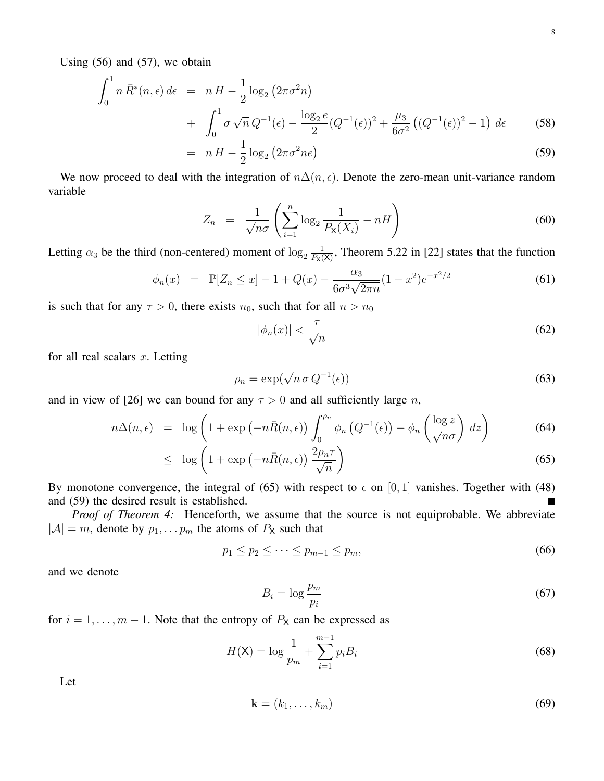8

Using  $(56)$  and  $(57)$ , we obtain

$$
\int_0^1 n \,\bar{R}^*(n,\epsilon) \,d\epsilon = n \,H - \frac{1}{2}\log_2\left(2\pi\sigma^2 n\right) \n+ \int_0^1 \sigma \sqrt{n} \,Q^{-1}(\epsilon) - \frac{\log_2 e}{2} (Q^{-1}(\epsilon))^2 + \frac{\mu_3}{6\sigma^2} \left( (Q^{-1}(\epsilon))^2 - 1 \right) \,d\epsilon \tag{58}
$$

$$
= n H - \frac{1}{2} \log_2 (2\pi \sigma^2 n e) \tag{59}
$$

We now proceed to deal with the integration of  $n\Delta(n, \epsilon)$ . Denote the zero-mean unit-variance random variable

$$
Z_n = \frac{1}{\sqrt{n}\sigma} \left( \sum_{i=1}^n \log_2 \frac{1}{P_{\mathsf{X}}(X_i)} - nH \right) \tag{60}
$$

Letting  $\alpha_3$  be the third (non-centered) moment of  $\log_2 \frac{1}{P_{\rm M}}$  $\frac{1}{P_X(X)}$ , Theorem 5.22 in [22] states that the function

$$
\phi_n(x) = \mathbb{P}[Z_n \le x] - 1 + Q(x) - \frac{\alpha_3}{6\sigma^3 \sqrt{2\pi n}} (1 - x^2) e^{-x^2/2}
$$
\n(61)

is such that for any  $\tau > 0$ , there exists  $n_0$ , such that for all  $n > n_0$ 

$$
|\phi_n(x)| < \frac{\tau}{\sqrt{n}}\tag{62}
$$

for all real scalars  $x$ . Letting

$$
\rho_n = \exp(\sqrt{n}\,\sigma\,Q^{-1}(\epsilon))\tag{63}
$$

and in view of [26] we can bound for any  $\tau > 0$  and all sufficiently large n,

$$
n\Delta(n,\epsilon) = \log\left(1 + \exp\left(-n\bar{R}(n,\epsilon)\right) \int_0^{\rho_n} \phi_n\left(Q^{-1}(\epsilon)\right) - \phi_n\left(\frac{\log z}{\sqrt{n}\sigma}\right) dz\right) \tag{64}
$$

$$
\leq \log \left( 1 + \exp \left( -n \bar{R}(n, \epsilon) \right) \frac{2\rho_n \tau}{\sqrt{n}} \right) \tag{65}
$$

By monotone convergence, the integral of (65) with respect to  $\epsilon$  on [0, 1] vanishes. Together with (48) and (59) the desired result is established. п

*Proof of Theorem 4:* Henceforth, we assume that the source is not equiprobable. We abbreviate  $|\mathcal{A}| = m$ , denote by  $p_1, \ldots, p_m$  the atoms of  $P_\mathsf{X}$  such that

$$
p_1 \le p_2 \le \cdots \le p_{m-1} \le p_m,\tag{66}
$$

and we denote

$$
B_i = \log \frac{p_m}{p_i} \tag{67}
$$

for  $i = 1, \ldots, m - 1$ . Note that the entropy of  $P_X$  can be expressed as

$$
H(\mathsf{X}) = \log \frac{1}{p_m} + \sum_{i=1}^{m-1} p_i B_i \tag{68}
$$

Let

$$
\mathbf{k} = (k_1, \dots, k_m) \tag{69}
$$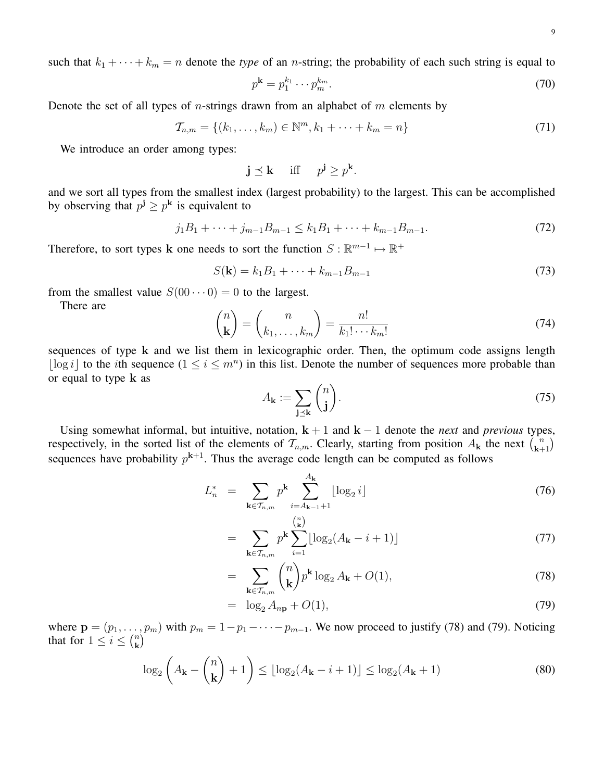such that  $k_1 + \cdots + k_m = n$  denote the *type* of an *n*-string; the probability of each such string is equal to

$$
p^{\mathbf{k}} = p_1^{k_1} \cdots p_m^{k_m}.
$$
\n<sup>(70)</sup>

Denote the set of all types of *n*-strings drawn from an alphabet of  $m$  elements by

$$
\mathcal{T}_{n,m} = \{(k_1, \dots, k_m) \in \mathbb{N}^m, k_1 + \dots + k_m = n\}
$$
\n(71)

We introduce an order among types:

$$
\mathbf{j} \preceq \mathbf{k} \quad \text{ iff } \quad p^{\mathbf{j}} \ge p^{\mathbf{k}}.
$$

and we sort all types from the smallest index (largest probability) to the largest. This can be accomplished by observing that  $p^j \geq p^k$  is equivalent to

$$
j_1 B_1 + \dots + j_{m-1} B_{m-1} \le k_1 B_1 + \dots + k_{m-1} B_{m-1}.
$$
\n(72)

Therefore, to sort types k one needs to sort the function  $S : \mathbb{R}^{m-1} \mapsto \mathbb{R}^+$ 

$$
S(\mathbf{k}) = k_1 B_1 + \dots + k_{m-1} B_{m-1} \tag{73}
$$

from the smallest value  $S(00 \cdots 0) = 0$  to the largest.

There are

$$
\binom{n}{\mathbf{k}} = \binom{n}{k_1, \dots, k_m} = \frac{n!}{k_1! \cdots k_m!}
$$
\n(74)

sequences of type k and we list them in lexicographic order. Then, the optimum code assigns length  $\lfloor \log i \rfloor$  to the *i*th sequence  $(1 \le i \le m^n)$  in this list. Denote the number of sequences more probable than or equal to type k as

$$
A_{\mathbf{k}} := \sum_{\mathbf{j} \preceq \mathbf{k}} \binom{n}{\mathbf{j}}.
$$
 (75)

Using somewhat informal, but intuitive, notation,  $k + 1$  and  $k - 1$  denote the *next* and *previous* types, respectively, in the sorted list of the elements of  $\mathcal{T}_{n,m}$ . Clearly, starting from position  $A_{\bf k}$  the next  $\begin{pmatrix} n \\ k+1 \end{pmatrix}$ sequences have probability  $p^{k+1}$ . Thus the average code length can be computed as follows

$$
L_n^* = \sum_{\mathbf{k} \in \mathcal{T}_{n,m}} p^{\mathbf{k}} \sum_{i=A_{\mathbf{k}-1}+1}^{A_{\mathbf{k}}} \lfloor \log_2 i \rfloor \tag{76}
$$

$$
= \sum_{\mathbf{k}\in\mathcal{T}_{n,m}} p^{\mathbf{k}} \sum_{i=1}^{n} \lfloor \log_2(A_{\mathbf{k}} - i + 1) \rfloor \tag{77}
$$

$$
= \sum_{\mathbf{k}\in\mathcal{T}_{n,m}} \binom{n}{\mathbf{k}} p^{\mathbf{k}} \log_2 A_{\mathbf{k}} + O(1),\tag{78}
$$

$$
= \log_2 A_{n\mathbf{p}} + O(1), \tag{79}
$$

where  $\mathbf{p} = (p_1, \ldots, p_m)$  with  $p_m = 1 - p_1 - \cdots - p_{m-1}$ . We now proceed to justify (78) and (79). Noticing that for  $1 \leq i \leq {n \choose k}$  $\binom{n}{\mathbf{k}}$ 

$$
\log_2\left(A_{\mathbf{k}} - \binom{n}{\mathbf{k}} + 1\right) \le \lfloor \log_2(A_{\mathbf{k}} - i + 1) \rfloor \le \log_2(A_{\mathbf{k}} + 1) \tag{80}
$$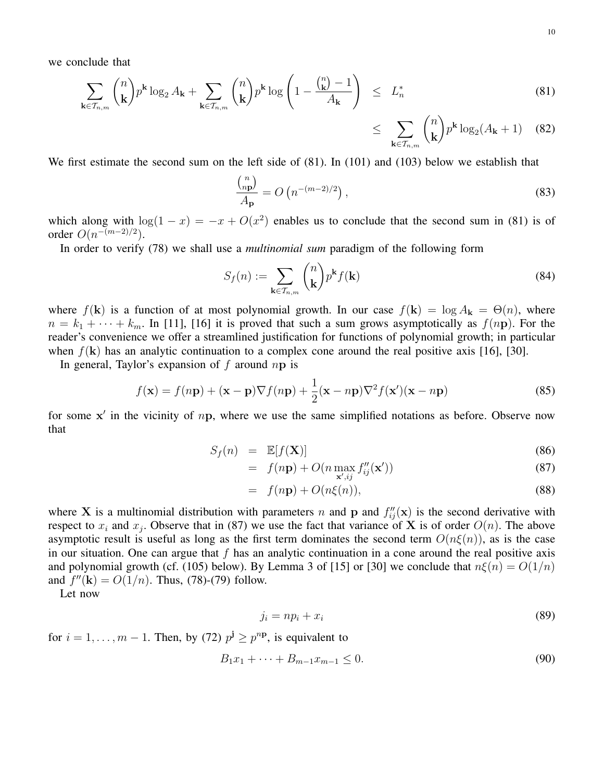we conclude that

$$
\sum_{\mathbf{k}\in\mathcal{T}_{n,m}} \binom{n}{\mathbf{k}} p^{\mathbf{k}} \log_2 A_{\mathbf{k}} + \sum_{\mathbf{k}\in\mathcal{T}_{n,m}} \binom{n}{\mathbf{k}} p^{\mathbf{k}} \log \left( 1 - \frac{\binom{n}{\mathbf{k}} - 1}{A_{\mathbf{k}}} \right) \le L_n^*
$$
\n(81)

≤ X  $\mathbf{k} \in \! \mathcal{T}_{n,m}$  $\sqrt{n}$ k  $\setminus$  $p^{\bf k} \log_2(A_{\bf k} + 1)$  (82)

We first estimate the second sum on the left side of (81). In (101) and (103) below we establish that

$$
\frac{\binom{n}{n\mathbf{p}}}{A_{\mathbf{p}}} = O\left(n^{-(m-2)/2}\right),\tag{83}
$$

which along with  $\log(1-x) = -x + O(x^2)$  enables us to conclude that the second sum in (81) is of order  $O(n^{-(m-2)/2})$ .

In order to verify (78) we shall use a *multinomial sum* paradigm of the following form

$$
S_f(n) := \sum_{\mathbf{k} \in \mathcal{T}_{n,m}} \binom{n}{\mathbf{k}} p^{\mathbf{k}} f(\mathbf{k}) \tag{84}
$$

where  $f(\mathbf{k})$  is a function of at most polynomial growth. In our case  $f(\mathbf{k}) = \log A_{\mathbf{k}} = \Theta(n)$ , where  $n = k_1 + \cdots + k_m$ . In [11], [16] it is proved that such a sum grows asymptotically as  $f(np)$ . For the reader's convenience we offer a streamlined justification for functions of polynomial growth; in particular when  $f(\mathbf{k})$  has an analytic continuation to a complex cone around the real positive axis [16], [30].

In general, Taylor's expansion of  $f$  around  $np$  is

$$
f(\mathbf{x}) = f(n\mathbf{p}) + (\mathbf{x} - \mathbf{p})\nabla f(n\mathbf{p}) + \frac{1}{2}(\mathbf{x} - n\mathbf{p})\nabla^2 f(\mathbf{x'}) (\mathbf{x} - n\mathbf{p})
$$
(85)

for some  $x'$  in the vicinity of  $np$ , where we use the same simplified notations as before. Observe now that

$$
S_f(n) = \mathbb{E}[f(\mathbf{X})] \tag{86}
$$

$$
= f(n\mathbf{p}) + O(n\max_{\mathbf{x}',ij} f''_{ij}(\mathbf{x}')) \tag{87}
$$

$$
= f(n\mathbf{p}) + O(n\xi(n)), \tag{88}
$$

where **X** is a multinomial distribution with parameters n and p and  $f''_{ij}(\mathbf{x})$  is the second derivative with respect to  $x_i$  and  $x_j$ . Observe that in (87) we use the fact that variance of **X** is of order  $O(n)$ . The above asymptotic result is useful as long as the first term dominates the second term  $O(n\xi(n))$ , as is the case in our situation. One can argue that  $f$  has an analytic continuation in a cone around the real positive axis and polynomial growth (cf. (105) below). By Lemma 3 of [15] or [30] we conclude that  $n\xi(n) = O(1/n)$ and  $f''(\mathbf{k}) = O(1/n)$ . Thus, (78)-(79) follow.

Let now

$$
j_i = np_i + x_i \tag{89}
$$

for  $i = 1, \ldots, m - 1$ . Then, by (72)  $p^j \geq p^{np}$ , is equivalent to

$$
B_1 x_1 + \dots + B_{m-1} x_{m-1} \le 0. \tag{90}
$$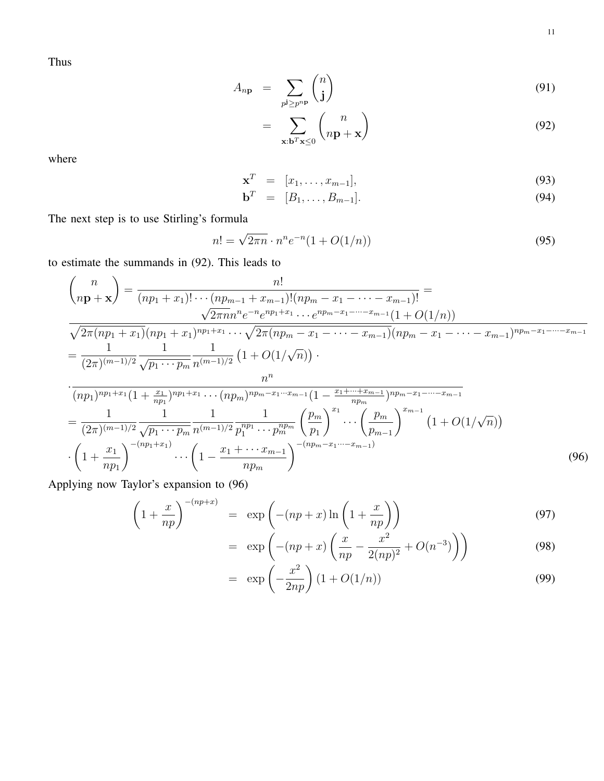Thus

$$
A_{n\mathbf{p}} = \sum_{p^{\mathbf{j}} \ge p^{n\mathbf{p}}} \binom{n}{\mathbf{j}} \tag{91}
$$

$$
= \sum_{\mathbf{x}: \mathbf{b}^T \mathbf{x} \le 0} {n \choose n\mathbf{p} + \mathbf{x}} \tag{92}
$$

where

$$
\mathbf{x}^T = [x_1, \dots, x_{m-1}], \tag{93}
$$

$$
\mathbf{b}^T = [B_1, \dots, B_{m-1}]. \tag{94}
$$

The next step is to use Stirling's formula

$$
n! = \sqrt{2\pi n} \cdot n^n e^{-n} (1 + O(1/n))
$$
\n(95)

to estimate the summands in (92). This leads to

$$
\binom{n}{np+x} = \frac{n!}{(np_1+x_1)!\cdots(np_{m-1}+x_{m-1})!(np_m-x_1-\cdots-x_{m-1})!} = \frac{\sqrt{2\pi nn}^{n}e^{-n}e^{np_1+x_1}\cdots e^{np_m-x_1-\cdots-x_{m-1}}(1+O(1/n))}{\sqrt{2\pi(np_1+x_1)}(np_1+x_1)^{np_1+x_1}\cdots\sqrt{2\pi(np_m-x_1-\cdots-x_{m-1}})(np_m-x_1-\cdots-x_{m-1})^{np_m-x_1-\cdots-x_{m-1}}}
$$
\n
$$
= \frac{1}{(2\pi)^{(m-1)/2}}\frac{1}{\sqrt{p_1\cdots p_m}}\frac{1}{n^{(m-1)/2}}\left(1+O(1/\sqrt{n})\right).
$$
\n
$$
\frac{n^n}{(np_1)^{np_1+x_1}(1+\frac{x_1}{np_1})^{np_1+x_1}\cdots(np_m)^{np_m-x_1\cdots x_{m-1}}(1-\frac{x_1+\cdots+x_{m-1}}{np_m})^{np_m-x_1-\cdots-x_{m-1}}}
$$
\n
$$
= \frac{1}{(2\pi)^{(m-1)/2}}\frac{1}{\sqrt{p_1\cdots p_m}}\frac{1}{n^{(m-1)/2}}\frac{1}{p_1^{np_1}\cdots p_m^{np_m}}\left(\frac{p_m}{p_1}\right)^{x_1}\cdots\left(\frac{p_m}{p_{m-1}}\right)^{x_{m-1}}\left(1+O(1/\sqrt{n})\right)
$$
\n
$$
\cdot\left(1+\frac{x_1}{np_1}\right)^{-(np_1+x_1)}\cdots\left(1-\frac{x_1+\cdots x_{m-1}}{np_m}\right)^{-(np_m-x_1\cdots-x_{m-1})} \tag{96}
$$

Applying now Taylor's expansion to (96)

$$
\left(1+\frac{x}{np}\right)^{-(np+x)} = \exp\left(-(np+x)\ln\left(1+\frac{x}{np}\right)\right) \tag{97}
$$

$$
= \exp\left(-(np+x)\left(\frac{x}{np} - \frac{x^2}{2(np)^2} + O(n^{-3})\right)\right)
$$
(98)

$$
= \exp\left(-\frac{x^2}{2np}\right)(1+O(1/n)) \tag{99}
$$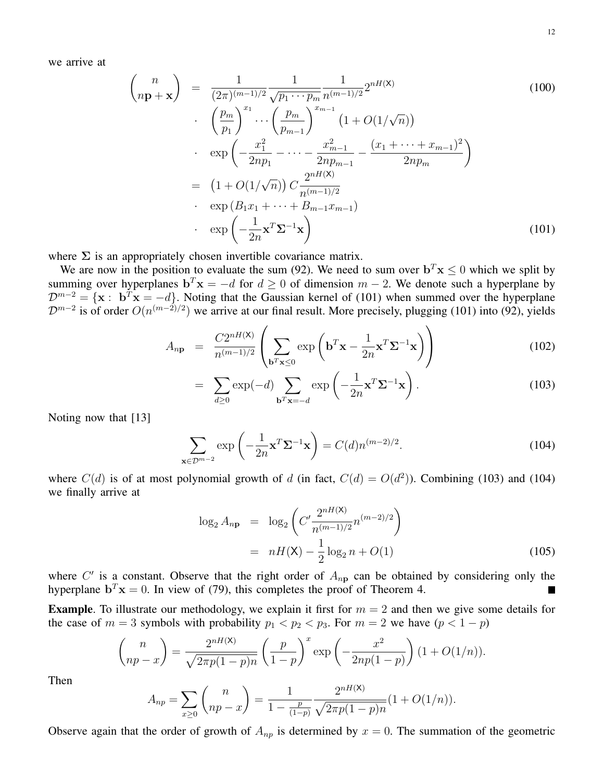we arrive at

$$
\begin{pmatrix}\nn \\
n \mathbf{p} + \mathbf{x}\n\end{pmatrix} = \frac{1}{(2\pi)^{(m-1)/2}} \frac{1}{\sqrt{p_1 \cdots p_m}} \frac{1}{n^{(m-1)/2}} 2^{nH(\mathbf{X})}
$$
\n
$$
\begin{pmatrix}\n\frac{p_m}{p_1}\n\end{pmatrix}^{x_1} \cdots \begin{pmatrix}\n\frac{p_m}{p_{m-1}}\n\end{pmatrix}^{x_{m-1}} \left(1 + O(1/\sqrt{n})\right)
$$
\n
$$
\begin{pmatrix}\n\exp\left(-\frac{x_1^2}{2np_1} - \cdots - \frac{x_{m-1}^2}{2np_{m-1}} - \frac{(x_1 + \cdots + x_{m-1})^2}{2np_m}\right)\n\end{pmatrix}
$$
\n
$$
= (1 + O(1/\sqrt{n})) C \frac{2^{nH(\mathbf{X})}}{n^{(m-1)/2}}
$$
\n
$$
\begin{pmatrix}\n\exp(B_1 x_1 + \cdots + B_{m-1} x_{m-1}) \\
\exp\left(-\frac{1}{2n} \mathbf{x}^T \mathbf{\Sigma}^{-1} \mathbf{x}\right)\n\end{pmatrix}
$$
\n(101)

where  $\Sigma$  is an appropriately chosen invertible covariance matrix.

We are now in the position to evaluate the sum (92). We need to sum over  $\mathbf{b}^T \mathbf{x} \leq 0$  which we split by summing over hyperplanes  $\mathbf{b}^T \mathbf{x} = -d$  for  $d \geq 0$  of dimension  $m - 2$ . We denote such a hyperplane by  $\mathcal{D}^{m-2} = \{ \mathbf{x} : \mathbf{b}^T\mathbf{x} = -d \}.$  Noting that the Gaussian kernel of (101) when summed over the hyperplane  $\mathcal{D}^{m-2}$  is of order  $O(n^{(m-2)/2})$  we arrive at our final result. More precisely, plugging (101) into (92), yields

$$
A_{n\mathbf{p}} = \frac{C2^{nH(\mathbf{X})}}{n^{(m-1)/2}} \left( \sum_{\mathbf{b}^T \mathbf{x} \le 0} \exp\left(\mathbf{b}^T \mathbf{x} - \frac{1}{2n} \mathbf{x}^T \mathbf{\Sigma}^{-1} \mathbf{x}\right) \right)
$$
(102)

$$
= \sum_{d\geq 0} \exp(-d) \sum_{\mathbf{b}^T \mathbf{x} = -d} \exp\left(-\frac{1}{2n} \mathbf{x}^T \mathbf{\Sigma}^{-1} \mathbf{x}\right).
$$
 (103)

Noting now that [13]

$$
\sum_{\mathbf{x}\in\mathcal{D}^{m-2}} \exp\left(-\frac{1}{2n}\mathbf{x}^T\mathbf{\Sigma}^{-1}\mathbf{x}\right) = C(d)n^{(m-2)/2}.
$$
 (104)

where  $C(d)$  is of at most polynomial growth of d (in fact,  $C(d) = O(d^2)$ ). Combining (103) and (104) we finally arrive at

$$
\log_2 A_{n\mathbf{p}} = \log_2 \left( C' \frac{2^{nH(\mathbf{X})}}{n^{(m-1)/2}} n^{(m-2)/2} \right)
$$
  
=  $nH(\mathbf{X}) - \frac{1}{2} \log_2 n + O(1)$  (105)

where  $C'$  is a constant. Observe that the right order of  $A_{np}$  can be obtained by considering only the hyperplane  $\mathbf{b}^T \mathbf{x} = 0$ . In view of (79), this completes the proof of Theorem 4.

**Example.** To illustrate our methodology, we explain it first for  $m = 2$  and then we give some details for the case of  $m = 3$  symbols with probability  $p_1 < p_2 < p_3$ . For  $m = 2$  we have  $(p < 1 - p)$ 

$$
\binom{n}{np-x} = \frac{2^{nH(X)}}{\sqrt{2\pi p(1-p)n}} \left(\frac{p}{1-p}\right)^x \exp\left(-\frac{x^2}{2np(1-p)}\right) (1+O(1/n)).
$$

Then

$$
A_{np} = \sum_{x \ge 0} {n \choose np-x} = \frac{1}{1 - \frac{p}{(1-p)}} \frac{2^{nH(\mathsf{X})}}{\sqrt{2\pi p(1-p)n}} (1 + O(1/n)).
$$

Observe again that the order of growth of  $A_{np}$  is determined by  $x = 0$ . The summation of the geometric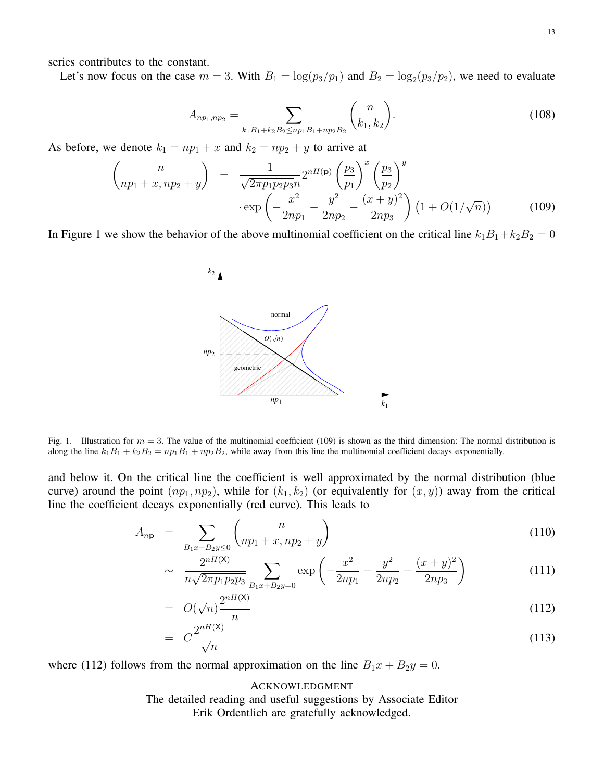series contributes to the constant.

Let's now focus on the case  $m = 3$ . With  $B_1 = \log(p_3/p_1)$  and  $B_2 = \log_2(p_3/p_2)$ , we need to evaluate

$$
A_{np_1, np_2} = \sum_{k_1 B_1 + k_2 B_2 \le np_1 B_1 + np_2 B_2} {n \choose k_1, k_2}.
$$
 (108)

As before, we denote  $k_1 = np_1 + x$  and  $k_2 = np_2 + y$  to arrive at

$$
\begin{pmatrix} n \\ n p_1 + x, n p_2 + y \end{pmatrix} = \frac{1}{\sqrt{2\pi p_1 p_2 p_3 n}} 2^{nH(\mathbf{p})} \left(\frac{p_3}{p_1}\right)^x \left(\frac{p_3}{p_2}\right)^y
$$

$$
\exp\left(-\frac{x^2}{2np_1} - \frac{y^2}{2np_2} - \frac{(x+y)^2}{2np_3}\right) \left(1 + O(1/\sqrt{n})\right) \tag{109}
$$

In Figure 1 we show the behavior of the above multinomial coefficient on the critical line  $k_1B_1+k_2B_2 = 0$ 



Fig. 1. Illustration for  $m = 3$ . The value of the multinomial coefficient (109) is shown as the third dimension: The normal distribution is along the line  $k_1B_1 + k_2B_2 = np_1B_1 + np_2B_2$ , while away from this line the multinomial coefficient decays exponentially.

and below it. On the critical line the coefficient is well approximated by the normal distribution (blue curve) around the point  $(np_1, np_2)$ , while for  $(k_1, k_2)$  (or equivalently for  $(x, y)$ ) away from the critical line the coefficient decays exponentially (red curve). This leads to

$$
A_{n\mathbf{p}} = \sum_{B_1x + B_2y \le 0} {n \choose np_1 + x, np_2 + y}
$$
 (110)

$$
\sim \frac{2^{nH(X)}}{n\sqrt{2\pi p_1 p_2 p_3}} \sum_{B_1 x + B_2 y = 0} \exp\left(-\frac{x^2}{2np_1} - \frac{y^2}{2np_2} - \frac{(x+y)^2}{2np_3}\right) \tag{111}
$$

$$
= O(\sqrt{n}) \frac{2^{nH(\mathsf{X})}}{n} \tag{112}
$$

$$
= C \frac{2^{nH(X)}}{\sqrt{n}} \tag{113}
$$

where (112) follows from the normal approximation on the line  $B_1x + B_2y = 0$ .

ACKNOWLEDGMENT The detailed reading and useful suggestions by Associate Editor Erik Ordentlich are gratefully acknowledged.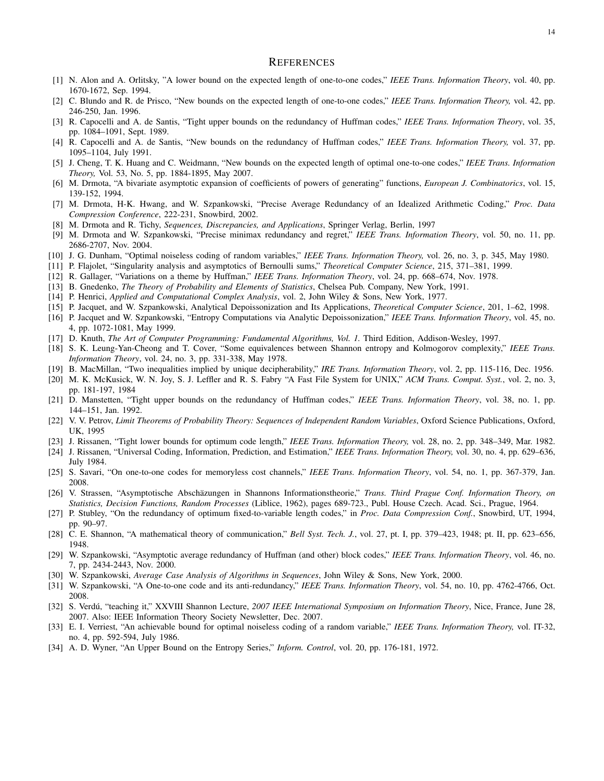#### **REFERENCES**

- [1] N. Alon and A. Orlitsky, "A lower bound on the expected length of one-to-one codes," *IEEE Trans. Information Theory*, vol. 40, pp. 1670-1672, Sep. 1994.
- [2] C. Blundo and R. de Prisco, "New bounds on the expected length of one-to-one codes," *IEEE Trans. Information Theory,* vol. 42, pp. 246-250, Jan. 1996.
- [3] R. Capocelli and A. de Santis, "Tight upper bounds on the redundancy of Huffman codes," *IEEE Trans. Information Theory*, vol. 35, pp. 1084–1091, Sept. 1989.
- [4] R. Capocelli and A. de Santis, "New bounds on the redundancy of Huffman codes," *IEEE Trans. Information Theory,* vol. 37, pp. 1095–1104, July 1991.
- [5] J. Cheng, T. K. Huang and C. Weidmann, "New bounds on the expected length of optimal one-to-one codes," *IEEE Trans. Information Theory,* Vol. 53, No. 5, pp. 1884-1895, May 2007.
- [6] M. Drmota, "A bivariate asymptotic expansion of coefficients of powers of generating" functions, *European J. Combinatorics*, vol. 15, 139-152, 1994.
- [7] M. Drmota, H-K. Hwang, and W. Szpankowski, "Precise Average Redundancy of an Idealized Arithmetic Coding," *Proc. Data Compression Conference*, 222-231, Snowbird, 2002.
- [8] M. Drmota and R. Tichy, *Sequences, Discrepancies, and Applications*, Springer Verlag, Berlin, 1997
- [9] M. Drmota and W. Szpankowski, "Precise minimax redundancy and regret," *IEEE Trans. Information Theory*, vol. 50, no. 11, pp. 2686-2707, Nov. 2004.
- [10] J. G. Dunham, "Optimal noiseless coding of random variables," *IEEE Trans. Information Theory,* vol. 26, no. 3, p. 345, May 1980.
- [11] P. Flajolet, "Singularity analysis and asymptotics of Bernoulli sums," *Theoretical Computer Science*, 215, 371–381, 1999.
- [12] R. Gallager, "Variations on a theme by Huffman," *IEEE Trans. Information Theory*, vol. 24, pp. 668–674, Nov. 1978.
- [13] B. Gnedenko, *The Theory of Probability and Elements of Statistics*, Chelsea Pub. Company, New York, 1991.
- [14] P. Henrici, *Applied and Computational Complex Analysis*, vol. 2, John Wiley & Sons, New York, 1977.
- [15] P. Jacquet, and W. Szpankowski, Analytical Depoissonization and Its Applications, *Theoretical Computer Science*, 201, 1–62, 1998.
- [16] P. Jacquet and W. Szpankowski, "Entropy Computations via Analytic Depoissonization," *IEEE Trans. Information Theory*, vol. 45, no. 4, pp. 1072-1081, May 1999.
- [17] D. Knuth, *The Art of Computer Programming: Fundamental Algorithms, Vol. 1.* Third Edition, Addison-Wesley, 1997.
- [18] S. K. Leung-Yan-Cheong and T. Cover, "Some equivalences between Shannon entropy and Kolmogorov complexity," *IEEE Trans. Information Theory*, vol. 24, no. 3, pp. 331-338, May 1978.
- [19] B. MacMillan, "Two inequalities implied by unique decipherability," *IRE Trans. Information Theory*, vol. 2, pp. 115-116, Dec. 1956.
- [20] M. K. McKusick, W. N. Joy, S. J. Leffler and R. S. Fabry "A Fast File System for UNIX," *ACM Trans. Comput. Syst.*, vol. 2, no. 3, pp. 181-197, 1984
- [21] D. Manstetten, "Tight upper bounds on the redundancy of Huffman codes," *IEEE Trans. Information Theory*, vol. 38, no. 1, pp. 144–151, Jan. 1992.
- [22] V. V. Petrov, *Limit Theorems of Probability Theory: Sequences of Independent Random Variables*, Oxford Science Publications, Oxford, UK, 1995
- [23] J. Rissanen, "Tight lower bounds for optimum code length," *IEEE Trans. Information Theory,* vol. 28, no. 2, pp. 348–349, Mar. 1982.
- [24] J. Rissanen, "Universal Coding, Information, Prediction, and Estimation," *IEEE Trans. Information Theory,* vol. 30, no. 4, pp. 629–636, July 1984.
- [25] S. Savari, "On one-to-one codes for memoryless cost channels," *IEEE Trans. Information Theory*, vol. 54, no. 1, pp. 367-379, Jan. 2008.
- [26] V. Strassen, "Asymptotische Abschäzungen in Shannons Informationstheorie," *Trans. Third Prague Conf. Information Theory, on Statistics, Decision Functions, Random Processes* (Liblice, 1962), pages 689-723., Publ. House Czech. Acad. Sci., Prague, 1964.
- [27] P. Stubley, "On the redundancy of optimum fixed-to-variable length codes," in *Proc. Data Compression Conf.*, Snowbird, UT, 1994, pp. 90–97.
- [28] C. E. Shannon, "A mathematical theory of communication," *Bell Syst. Tech. J.*, vol. 27, pt. I, pp. 379–423, 1948; pt. II, pp. 623–656, 1948.
- [29] W. Szpankowski, "Asymptotic average redundancy of Huffman (and other) block codes," *IEEE Trans. Information Theory*, vol. 46, no. 7, pp. 2434-2443, Nov. 2000.
- [30] W. Szpankowski, *Average Case Analysis of Algorithms in Sequences*, John Wiley & Sons, New York, 2000.
- [31] W. Szpankowski, "A One-to-one code and its anti-redundancy," *IEEE Trans. Information Theory*, vol. 54, no. 10, pp. 4762-4766, Oct. 2008.
- [32] S. Verdú, "teaching it," XXVIII Shannon Lecture, 2007 IEEE International Symposium on Information Theory, Nice, France, June 28, 2007. Also: IEEE Information Theory Society Newsletter, Dec. 2007.
- [33] E. I. Verriest, "An achievable bound for optimal noiseless coding of a random variable," *IEEE Trans. Information Theory,* vol. IT-32, no. 4, pp. 592-594, July 1986.
- [34] A. D. Wyner, "An Upper Bound on the Entropy Series," *Inform. Control*, vol. 20, pp. 176-181, 1972.